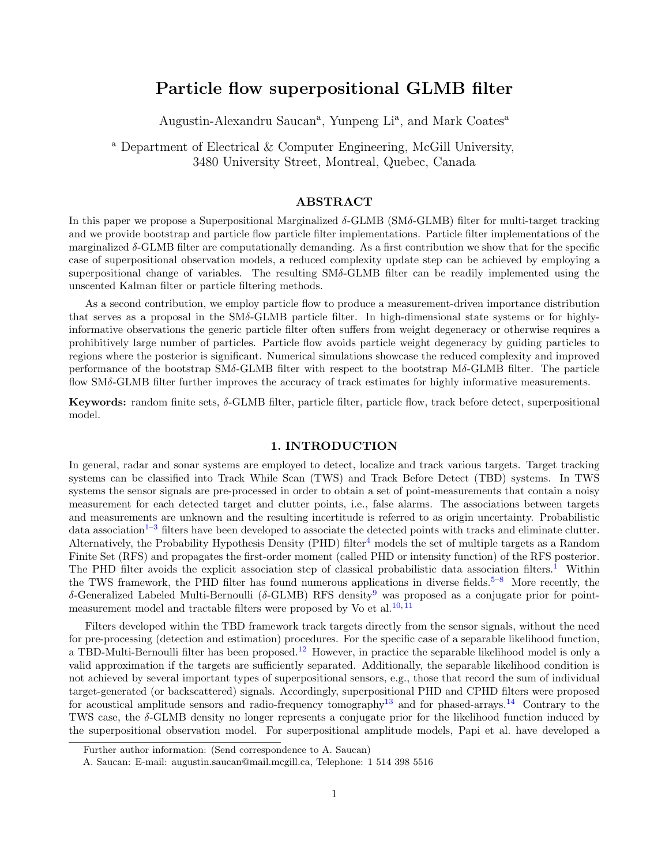# Particle flow superpositional GLMB filter

Augustin-Alexandru Saucan<sup>a</sup>, Yunpeng Li<sup>a</sup>, and Mark Coates<sup>a</sup>

<sup>a</sup> Department of Electrical & Computer Engineering, McGill University, 3480 University Street, Montreal, Quebec, Canada

## ABSTRACT

In this paper we propose a Superpositional Marginalized  $\delta$ -GLMB (SM $\delta$ -GLMB) filter for multi-target tracking and we provide bootstrap and particle flow particle filter implementations. Particle filter implementations of the marginalized δ-GLMB filter are computationally demanding. As a first contribution we show that for the specific case of superpositional observation models, a reduced complexity update step can be achieved by employing a superpositional change of variables. The resulting SMδ-GLMB filter can be readily implemented using the unscented Kalman filter or particle filtering methods.

As a second contribution, we employ particle flow to produce a measurement-driven importance distribution that serves as a proposal in the SMδ-GLMB particle filter. In high-dimensional state systems or for highlyinformative observations the generic particle filter often suffers from weight degeneracy or otherwise requires a prohibitively large number of particles. Particle flow avoids particle weight degeneracy by guiding particles to regions where the posterior is significant. Numerical simulations showcase the reduced complexity and improved performance of the bootstrap SMδ-GLMB filter with respect to the bootstrap Mδ-GLMB filter. The particle flow SMδ-GLMB filter further improves the accuracy of track estimates for highly informative measurements.

Keywords: random finite sets, δ-GLMB filter, particle filter, particle flow, track before detect, superpositional model.

#### 1. INTRODUCTION

In general, radar and sonar systems are employed to detect, localize and track various targets. Target tracking systems can be classified into Track While Scan (TWS) and Track Before Detect (TBD) systems. In TWS systems the sensor signals are pre-processed in order to obtain a set of point-measurements that contain a noisy measurement for each detected target and clutter points, i.e., false alarms. The associations between targets and measurements are unknown and the resulting incertitude is referred to as origin uncertainty. Probabilistic data association<sup>[1–](#page-10-0)[3](#page-10-1)</sup> filters have been developed to associate the detected points with tracks and eliminate clutter. Alternatively, the Probability Hypothesis Density (PHD) filter<sup>[4](#page-10-2)</sup> models the set of multiple targets as a Random Finite Set (RFS) and propagates the first-order moment (called PHD or intensity function) of the RFS posterior. The PHD filter avoids the explicit association step of classical probabilistic data association filters.<sup>[1](#page-10-0)</sup> Within the TWS framework, the PHD filter has found numerous applications in diverse fields.<sup>[5](#page-11-0)[–8](#page-11-1)</sup> More recently, the δ-Generalized Labeled Multi-Bernoulli (δ-GLMB) RFS density<sup>[9](#page-11-2)</sup> was proposed as a conjugate prior for point-measurement model and tractable filters were proposed by Vo et al.<sup>[10,](#page-11-3) [11](#page-11-4)</sup>

Filters developed within the TBD framework track targets directly from the sensor signals, without the need for pre-processing (detection and estimation) procedures. For the specific case of a separable likelihood function, a TBD-Multi-Bernoulli filter has been proposed.<sup>[12](#page-11-5)</sup> However, in practice the separable likelihood model is only a valid approximation if the targets are sufficiently separated. Additionally, the separable likelihood condition is not achieved by several important types of superpositional sensors, e.g., those that record the sum of individual target-generated (or backscattered) signals. Accordingly, superpositional PHD and CPHD filters were proposed for acoustical amplitude sensors and radio-frequency tomography<sup>[13](#page-11-6)</sup> and for phased-arrays.<sup>[14](#page-11-7)</sup> Contrary to the TWS case, the δ-GLMB density no longer represents a conjugate prior for the likelihood function induced by the superpositional observation model. For superpositional amplitude models, Papi et al. have developed a

Further author information: (Send correspondence to A. Saucan)

A. Saucan: E-mail: augustin.saucan@mail.mcgill.ca, Telephone: 1 514 398 5516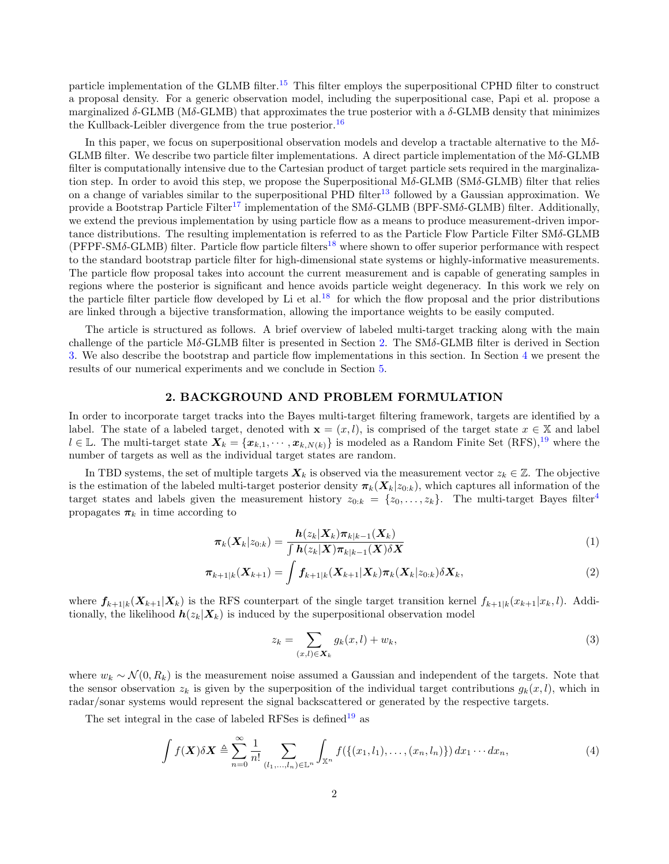particle implementation of the GLMB filter.<sup>[15](#page-11-8)</sup> This filter employs the superpositional CPHD filter to construct a proposal density. For a generic observation model, including the superpositional case, Papi et al. propose a marginalized  $\delta$ -GLMB (M $\delta$ -GLMB) that approximates the true posterior with a  $\delta$ -GLMB density that minimizes the Kullback-Leibler divergence from the true posterior.<sup>[16](#page-11-9)</sup>

In this paper, we focus on superpositional observation models and develop a tractable alternative to the  $M\delta$ -GLMB filter. We describe two particle filter implementations. A direct particle implementation of the  $M\delta$ -GLMB filter is computationally intensive due to the Cartesian product of target particle sets required in the marginalization step. In order to avoid this step, we propose the Superpositional  $M\delta$ -GLMB (SM $\delta$ -GLMB) filter that relies on a change of variables similar to the superpositional PHD filter<sup>[13](#page-11-6)</sup> followed by a Gaussian approximation. We provide a Bootstrap Particle Filter<sup>[17](#page-11-10)</sup> implementation of the SM $\delta$ -GLMB (BPF-SM $\delta$ -GLMB) filter. Additionally, we extend the previous implementation by using particle flow as a means to produce measurement-driven importance distributions. The resulting implementation is referred to as the Particle Flow Particle Filter SMδ-GLMB  $(PFPF-SM\delta\text{-GLMB})$  filter. Particle flow particle filters<sup>[18](#page-11-11)</sup> where shown to offer superior performance with respect to the standard bootstrap particle filter for high-dimensional state systems or highly-informative measurements. The particle flow proposal takes into account the current measurement and is capable of generating samples in regions where the posterior is significant and hence avoids particle weight degeneracy. In this work we rely on the particle filter particle flow developed by Li et al.<sup>[18](#page-11-11)</sup> for which the flow proposal and the prior distributions are linked through a bijective transformation, allowing the importance weights to be easily computed.

The article is structured as follows. A brief overview of labeled multi-target tracking along with the main challenge of the particle Mδ-GLMB filter is presented in Section [2.](#page-1-0) The SMδ-GLMB filter is derived in Section [3.](#page-4-0) We also describe the bootstrap and particle flow implementations in this section. In Section [4](#page-7-0) we present the results of our numerical experiments and we conclude in Section [5.](#page-10-3)

### 2. BACKGROUND AND PROBLEM FORMULATION

<span id="page-1-0"></span>In order to incorporate target tracks into the Bayes multi-target filtering framework, targets are identified by a label. The state of a labeled target, denoted with  $\mathbf{x} = (x, l)$ , is comprised of the target state  $x \in \mathbb{X}$  and label  $l \in \mathbb{L}$ . The multi-target state  $\mathbf{X}_k = {\mathbf{x}_{k,1}, \cdots, \mathbf{x}_{k,N(k)}}$  is modeled as a Random Finite Set  $(RFS),^{19}$  $(RFS),^{19}$  $(RFS),^{19}$  where the number of targets as well as the individual target states are random.

In TBD systems, the set of multiple targets  $\mathbf{X}_k$  is observed via the measurement vector  $z_k \in \mathbb{Z}$ . The objective is the estimation of the labeled multi-target posterior density  $\pi_k(X_k|z_{0:k})$ , which captures all information of the target states and labels given the measurement history  $z_{0:k} = \{z_0, \ldots, z_k\}$ . The multi-target Bayes filter<sup>[4](#page-10-2)</sup> propagates  $\pi_k$  in time according to

$$
\boldsymbol{\pi}_{k}(\boldsymbol{X}_{k}|z_{0:k}) = \frac{\boldsymbol{h}(z_{k}|\boldsymbol{X}_{k})\boldsymbol{\pi}_{k|k-1}(\boldsymbol{X}_{k})}{\int \boldsymbol{h}(z_{k}|\boldsymbol{X})\boldsymbol{\pi}_{k|k-1}(\boldsymbol{X})\delta\boldsymbol{X}}
$$
(1)

$$
\boldsymbol{\pi}_{k+1|k}(\boldsymbol{X}_{k+1}) = \int \boldsymbol{f}_{k+1|k}(\boldsymbol{X}_{k+1}|\boldsymbol{X}_k)\boldsymbol{\pi}_k(\boldsymbol{X}_k|z_{0:k})\delta \boldsymbol{X}_k, \tag{2}
$$

where  $f_{k+1|k}(X_{k+1}|X_k)$  is the RFS counterpart of the single target transition kernel  $f_{k+1|k}(x_{k+1}|x_k, l)$ . Additionally, the likelihood  $h(z_k|X_k)$  is induced by the superpositional observation model

<span id="page-1-3"></span><span id="page-1-2"></span><span id="page-1-1"></span>
$$
z_k = \sum_{(x,l)\in \mathbf{X}_k} g_k(x,l) + w_k,\tag{3}
$$

where  $w_k \sim \mathcal{N}(0, R_k)$  is the measurement noise assumed a Gaussian and independent of the targets. Note that the sensor observation  $z_k$  is given by the superposition of the individual target contributions  $g_k(x, l)$ , which in radar/sonar systems would represent the signal backscattered or generated by the respective targets.

The set integral in the case of labeled RFSes is defined<sup>[19](#page-11-12)</sup> as

$$
\int f(\mathbf{X}) \delta \mathbf{X} \triangleq \sum_{n=0}^{\infty} \frac{1}{n!} \sum_{(l_1,\ldots,l_n) \in \mathbb{L}^n} \int_{\mathbb{X}^n} f(\{(x_1,l_1),\ldots,(x_n,l_n)\}) dx_1 \cdots dx_n,
$$
\n(4)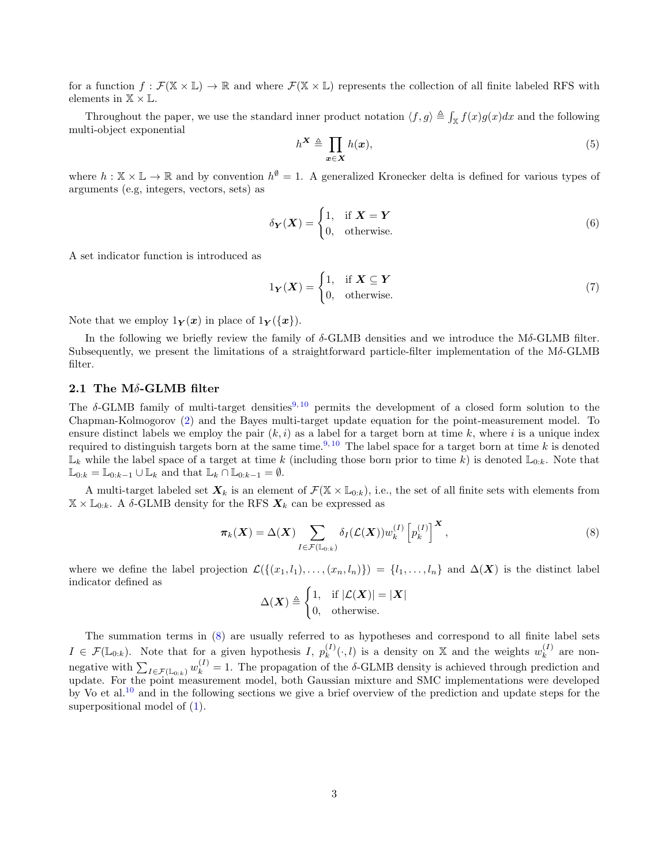for a function  $f : \mathcal{F}(\mathbb{X} \times \mathbb{L}) \to \mathbb{R}$  and where  $\mathcal{F}(\mathbb{X} \times \mathbb{L})$  represents the collection of all finite labeled RFS with elements in  $\mathbb{X} \times \mathbb{L}$ .

Throughout the paper, we use the standard inner product notation  $\langle f, g \rangle \triangleq \int_{\mathbb{X}} f(x)g(x)dx$  and the following multi-object exponential

$$
h^{\mathbf{X}} \triangleq \prod_{\mathbf{x} \in \mathbf{X}} h(\mathbf{x}),\tag{5}
$$

where  $h: \mathbb{X} \times \mathbb{L} \to \mathbb{R}$  and by convention  $h^{\emptyset} = 1$ . A generalized Kronecker delta is defined for various types of arguments (e.g, integers, vectors, sets) as

$$
\delta_{\mathbf{Y}}(\mathbf{X}) = \begin{cases} 1, & \text{if } \mathbf{X} = \mathbf{Y} \\ 0, & \text{otherwise.} \end{cases}
$$
 (6)

A set indicator function is introduced as

$$
1_Y(X) = \begin{cases} 1, & \text{if } X \subseteq Y \\ 0, & \text{otherwise.} \end{cases}
$$
 (7)

Note that we employ  $1_Y(x)$  in place of  $1_Y({x})$ .

In the following we briefly review the family of  $\delta$ -GLMB densities and we introduce the M $\delta$ -GLMB filter. Subsequently, we present the limitations of a straightforward particle-filter implementation of the Mδ-GLMB filter.

# 2.1 The Mδ-GLMB filter

The  $\delta$ -GLMB family of multi-target densities<sup>[9,](#page-11-2) [10](#page-11-3)</sup> permits the development of a closed form solution to the Chapman-Kolmogorov [\(2\)](#page-1-1) and the Bayes multi-target update equation for the point-measurement model. To ensure distinct labels we employ the pair  $(k, i)$  as a label for a target born at time k, where i is a unique index required to distinguish targets born at the same time.<sup>[9,](#page-11-2) [10](#page-11-3)</sup> The label space for a target born at time k is denoted  $\mathbb{L}_k$  while the label space of a target at time k (including those born prior to time k) is denoted  $\mathbb{L}_{0:k}$ . Note that  $\mathbb{L}_{0:k} = \mathbb{L}_{0:k-1} \cup \mathbb{L}_k$  and that  $\mathbb{L}_k \cap \mathbb{L}_{0:k-1} = \emptyset$ .

A multi-target labeled set  $X_k$  is an element of  $\mathcal{F}(\mathbb{X} \times \mathbb{L}_{0:k})$ , i.e., the set of all finite sets with elements from  $\mathbb{X}\times\mathbb{L}_{0:k}.$  A  $\delta\text{-GLMB}$  density for the RFS  $\boldsymbol{X}_k$  can be expressed as

<span id="page-2-0"></span>
$$
\pi_k(\boldsymbol{X}) = \Delta(\boldsymbol{X}) \sum_{I \in \mathcal{F}(\mathbb{L}_{0:k})} \delta_I(\mathcal{L}(\boldsymbol{X})) w_k^{(I)} \left[ p_k^{(I)} \right]^{\boldsymbol{X}}, \tag{8}
$$

where we define the label projection  $\mathcal{L}(\{(x_1, l_1), \ldots, (x_n, l_n)\}) = \{l_1, \ldots, l_n\}$  and  $\Delta(\boldsymbol{X})$  is the distinct label indicator defined as

<span id="page-2-1"></span>
$$
\Delta(\boldsymbol{X}) \triangleq \begin{cases} 1, & \text{if } |\mathcal{L}(\boldsymbol{X})| = |\boldsymbol{X}| \\ 0, & \text{otherwise.} \end{cases}
$$

The summation terms in [\(8\)](#page-2-0) are usually referred to as hypotheses and correspond to all finite label sets  $I \in \mathcal{F}(\mathbb{L}_{0:k})$ . Note that for a given hypothesis  $I, p_k^{(I)}$  $_k^{(I)}(\cdot, l)$  is a density on X and the weights  $w_k^{(I)}$  $\binom{1}{k}$  are nonnegative with  $\sum_{I \in \mathcal{F}(\mathbb{L}_{0:k})} w_k^{(I)} = 1$ . The propagation of the δ-GLMB density is achieved through prediction and update. For the point measurement model, both Gaussian mixture and SMC implementations were developed by Vo et al.<sup>[10](#page-11-3)</sup> and in the following sections we give a brief overview of the prediction and update steps for the superpositional model of [\(1\)](#page-1-2).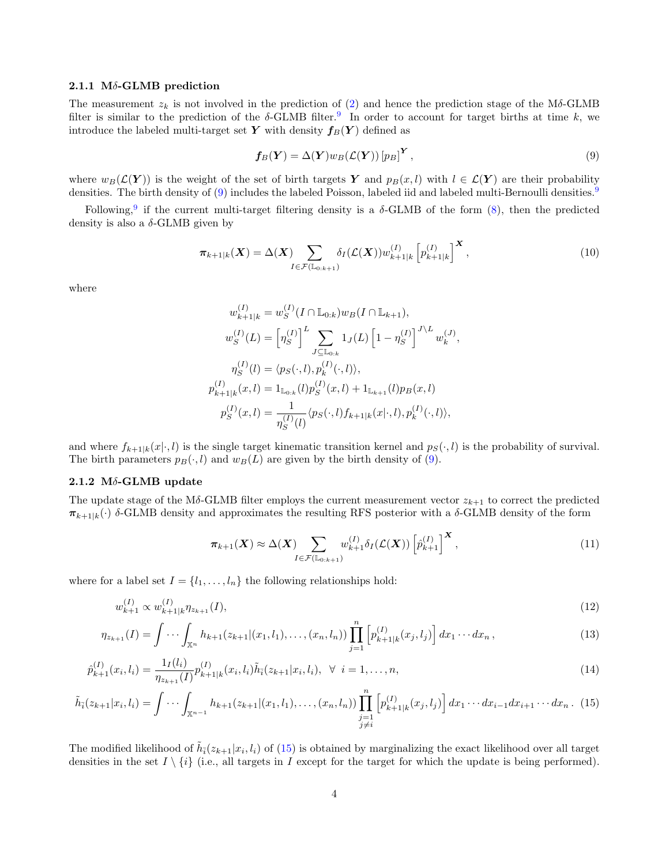#### 2.1.1 M $\delta$ -GLMB prediction

The measurement  $z_k$  is not involved in the prediction of [\(2\)](#page-1-1) and hence the prediction stage of the Mδ-GLMB filter is similar to the prediction of the  $\delta$ -GLMB filter.<sup>[9](#page-11-2)</sup> In order to account for target births at time k, we introduce the labeled multi-target set Y with density  $f_B(Y)$  defined as

$$
f_B(Y) = \Delta(Y) w_B(\mathcal{L}(Y)) [p_B]^Y, \qquad (9)
$$

where  $w_B(\mathcal{L}(Y))$  is the weight of the set of birth targets Y and  $p_B(x, l)$  with  $l \in \mathcal{L}(Y)$  are their probability densities. The birth density of [\(9\)](#page-2-1) includes the labeled Poisson, labeled iid and labeled multi-Bernoulli densities.<sup>[9](#page-11-2)</sup>

Following,<sup>[9](#page-11-2)</sup> if the current multi-target filtering density is a  $\delta$ -GLMB of the form  $(8)$ , then the predicted density is also a  $\delta$ -GLMB given by

$$
\pi_{k+1|k}(\boldsymbol{X}) = \Delta(\boldsymbol{X}) \sum_{I \in \mathcal{F}(\mathbb{L}_0, k+1)} \delta_I(\mathcal{L}(\boldsymbol{X})) w_{k+1|k}^{(I)} \left[ p_{k+1|k}^{(I)} \right]^{\boldsymbol{X}},
$$
\n(10)

where

$$
w_{k+1|k}^{(I)} = w_S^{(I)}(I \cap \mathbb{L}_{0:k})w_B(I \cap \mathbb{L}_{k+1}),
$$
  
\n
$$
w_S^{(I)}(L) = \left[\eta_S^{(I)}\right]^L \sum_{J \subseteq \mathbb{L}_{0:k}} 1_J(L) \left[1 - \eta_S^{(I)}\right]^{J \setminus L} w_k^{(J)},
$$
  
\n
$$
\eta_S^{(I)}(l) = \langle p_S(\cdot, l), p_k^{(I)}(\cdot, l) \rangle,
$$
  
\n
$$
p_{k+1|k}^{(I)}(x, l) = 1_{\mathbb{L}_{0:k}}(l) p_S^{(I)}(x, l) + 1_{\mathbb{L}_{k+1}}(l) p_B(x, l)
$$
  
\n
$$
p_S^{(I)}(x, l) = \frac{1}{\eta_S^{(I)}(l)} \langle p_S(\cdot, l) f_{k+1|k}(x|\cdot, l), p_k^{(I)}(\cdot, l) \rangle,
$$

and where  $f_{k+1|k}(x|\cdot, l)$  is the single target kinematic transition kernel and  $p_S(\cdot, l)$  is the probability of survival. The birth parameters  $p_B(\cdot, l)$  and  $w_B(L)$  are given by the birth density of [\(9\)](#page-2-1).

# 2.1.2 Mδ-GLMB update

The update stage of the Mδ-GLMB filter employs the current measurement vector  $z_{k+1}$  to correct the predicted  $\pi_{k+1|k}(\cdot)$  δ-GLMB density and approximates the resulting RFS posterior with a δ-GLMB density of the form

<span id="page-3-3"></span><span id="page-3-2"></span><span id="page-3-1"></span><span id="page-3-0"></span>
$$
\pi_{k+1}(\boldsymbol{X}) \approx \Delta(\boldsymbol{X}) \sum_{I \in \mathcal{F}(\mathbb{L}_{0:k+1})} w_{k+1}^{(I)} \delta_I(\mathcal{L}(\boldsymbol{X})) \left[ \hat{p}_{k+1}^{(I)} \right]^{\boldsymbol{X}}, \tag{11}
$$

where for a label set  $I = \{l_1, \ldots, l_n\}$  the following relationships hold:

$$
w_{k+1}^{(I)} \propto w_{k+1|k}^{(I)} \eta_{z_{k+1}}(I), \tag{12}
$$

$$
\eta_{z_{k+1}}(I) = \int \cdots \int_{\mathbb{X}^n} h_{k+1}(z_{k+1} | (x_1, l_1), \dots, (x_n, l_n)) \prod_{j=1}^n \left[ p_{k+1|k}^{(I)}(x_j, l_j) \right] dx_1 \cdots dx_n , \qquad (13)
$$

$$
\hat{p}_{k+1}^{(I)}(x_i, l_i) = \frac{1_I(l_i)}{\eta_{z_{k+1}}(I)} p_{k+1|k}^{(I)}(x_i, l_i) \tilde{h}_{\bar{i}}(z_{k+1}|x_i, l_i), \ \forall \ i = 1, ..., n,
$$
\n(14)

$$
\tilde{h}_{\bar{i}}(z_{k+1}|x_i, l_i) = \int \cdots \int_{\mathbb{X}^{n-1}} h_{k+1}(z_{k+1}|(x_1, l_1), \dots, (x_n, l_n)) \prod_{\substack{j=1 \\ j \neq i}}^{n} \left[ p_{k+1|k}^{(I)}(x_j, l_j) \right] dx_1 \cdots dx_{i-1} dx_{i+1} \cdots dx_n. \tag{15}
$$

The modified likelihood of  $\tilde{h}_i(z_{k+1}|x_i, l_i)$  of [\(15\)](#page-3-0) is obtained by marginalizing the exact likelihood over all target densities in the set  $I \setminus \{i\}$  (i.e., all targets in I except for the target for which the update is being performed).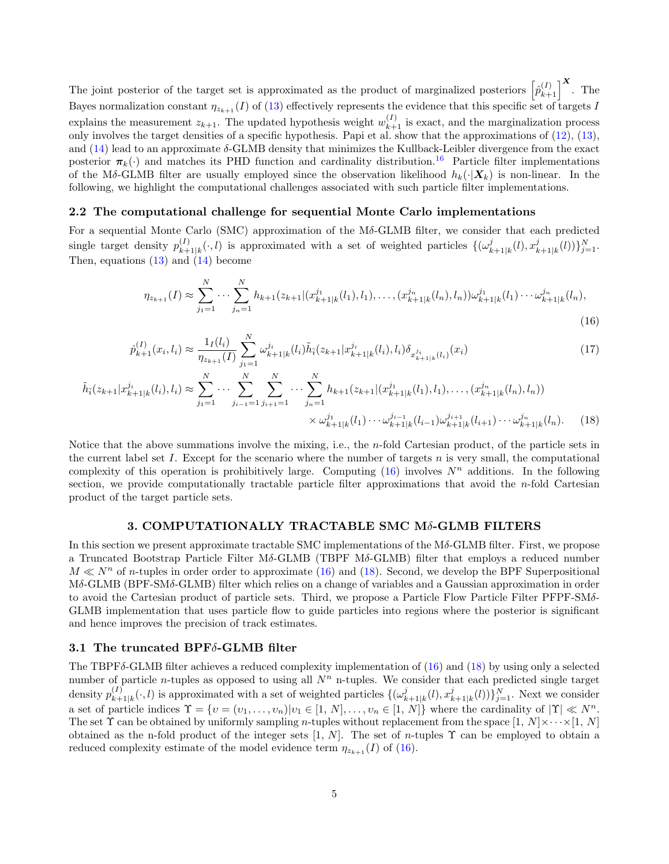The joint posterior of the target set is approximated as the product of marginalized posteriors  $\begin{bmatrix} \hat{p}_{k+1}^{(I)} \end{bmatrix}^{\mathbf{X}}$ . The Bayes normalization constant  $\eta_{z_{k+1}}(I)$  of [\(13\)](#page-3-1) effectively represents the evidence that this specific set of targets I explains the measurement  $z_{k+1}$ . The updated hypothesis weight  $w_{k+1}^{(I)}$  is exact, and the marginalization process only involves the target densities of a specific hypothesis. Papi et al. show that the approximations of [\(12\)](#page-3-2), [\(13\)](#page-3-1), and [\(14\)](#page-3-3) lead to an approximate δ-GLMB density that minimizes the Kullback-Leibler divergence from the exact posterior  $\pi_k(\cdot)$  and matches its PHD function and cardinality distribution.<sup>[16](#page-11-9)</sup> Particle filter implementations of the Mδ-GLMB filter are usually employed since the observation likelihood  $h_k(\cdot|\bm{X}_k)$  is non-linear. In the following, we highlight the computational challenges associated with such particle filter implementations.

### 2.2 The computational challenge for sequential Monte Carlo implementations

For a sequential Monte Carlo (SMC) approximation of the Mδ-GLMB filter, we consider that each predicted single target density  $p_{k+1}^{(I)}$  ${}_{k+1|k}^{(I)}(\cdot, l)$  is approximated with a set of weighted particles  $\{(\omega_k^j)$  $_{k+1|k}^{j}(l),x_{k}^{j}$  $_{k+1|k}^{j}(l))\}_{j=1}^{N}$ . Then, equations  $(13)$  and  $(14)$  become

<span id="page-4-3"></span><span id="page-4-2"></span><span id="page-4-1"></span>
$$
\eta_{z_{k+1}}(I) \approx \sum_{j_1=1}^N \cdots \sum_{j_n=1}^N h_{k+1}(z_{k+1}|(x_{k+1|k}^{j_1}(l_1), l_1), \dots, (x_{k+1|k}^{j_n}(l_n), l_n))\omega_{k+1|k}^{j_1}(l_1)\cdots \omega_{k+1|k}^{j_n}(l_n),
$$
\n(16)

$$
\hat{p}_{k+1}^{(I)}(x_i, l_i) \approx \frac{1_I(l_i)}{\eta_{z_{k+1}}(I)} \sum_{j_1=1}^N \omega_{k+1|k}^{j_i} (l_i) \tilde{h}_{\bar{i}}(z_{k+1}|x_{k+1|k}^{j_i} (l_i), l_i) \delta_{x_{k+1|k}^{j_i} (l_i)}(x_i)
$$
\n(17)

$$
\tilde{h}_{\bar{i}}(z_{k+1}|x_{k+1|k}^{j_i}(l_i),l_i) \approx \sum_{j_1=1}^N \cdots \sum_{j_{i-1}=1}^N \sum_{j_{i+1}=1}^N \cdots \sum_{j_n=1}^N h_{k+1}(z_{k+1}|(x_{k+1}^{j_1}|(l_1),l_1),\ldots,(x_{k+1|k}^{j_n}(l_n),l_n))
$$
\n
$$
\times \omega_{k+1|k}^{j_1}(l_1)\cdots \omega_{k+1|k}^{j_{i-1}}(l_{i-1})\omega_{k+1|k}^{j_{i+1}}(l_{i+1})\cdots \omega_{k+1|k}^{j_n}(l_n). \tag{18}
$$

Notice that the above summations involve the mixing, i.e., the n-fold Cartesian product, of the particle sets in the current label set I. Except for the scenario where the number of targets  $n$  is very small, the computational complexity of this operation is prohibitively large. Computing [\(16\)](#page-4-1) involves  $N^n$  additions. In the following section, we provide computationally tractable particle filter approximations that avoid the  $n$ -fold Cartesian product of the target particle sets.

#### 3. COMPUTATIONALLY TRACTABLE SMC Mδ-GLMB FILTERS

<span id="page-4-0"></span>In this section we present approximate tractable SMC implementations of the  $M\delta$ -GLMB filter. First, we propose a Truncated Bootstrap Particle Filter Mδ-GLMB (TBPF Mδ-GLMB) filter that employs a reduced number  $M \ll N^n$  of n-tuples in order order to approximate [\(16\)](#page-4-1) and [\(18\)](#page-4-2). Second, we develop the BPF Superpositional Mδ-GLMB (BPF-SMδ-GLMB) filter which relies on a change of variables and a Gaussian approximation in order to avoid the Cartesian product of particle sets. Third, we propose a Particle Flow Particle Filter PFPF-SMδ-GLMB implementation that uses particle flow to guide particles into regions where the posterior is significant and hence improves the precision of track estimates.

# 3.1 The truncated BPFδ-GLMB filter

The TBPFδ-GLMB filter achieves a reduced complexity implementation of [\(16\)](#page-4-1) and [\(18\)](#page-4-2) by using only a selected number of particle *n*-tuples as opposed to using all  $N<sup>n</sup>$  n-tuples. We consider that each predicted single target density  $p_{k\perp}^{(I)}$  $\binom{I}{k+1|k}(\cdot, l)$  is approximated with a set of weighted particles  $\{(\omega_k^j)\}$  $_{k+1|k}^{j}(l),x_{k}^{j}$  $\{(\mathbf{k}_{k+1|k}(l))\}_{j=1}^N$ . Next we consider a set of particle indices  $\Upsilon = \{v = (v_1, \ldots, v_n) | v_1 \in [1, N], \ldots, v_n \in [1, N] \}$  where the cardinality of  $|\Upsilon| \ll N^n$ . The set  $\Upsilon$  can be obtained by uniformly sampling *n*-tuples without replacement from the space  $[1, N] \times \cdots \times [1, N]$ obtained as the n-fold product of the integer sets [1, N]. The set of n-tuples  $\Upsilon$  can be employed to obtain a reduced complexity estimate of the model evidence term  $\eta_{z_{k+1}}(I)$  of [\(16\)](#page-4-1).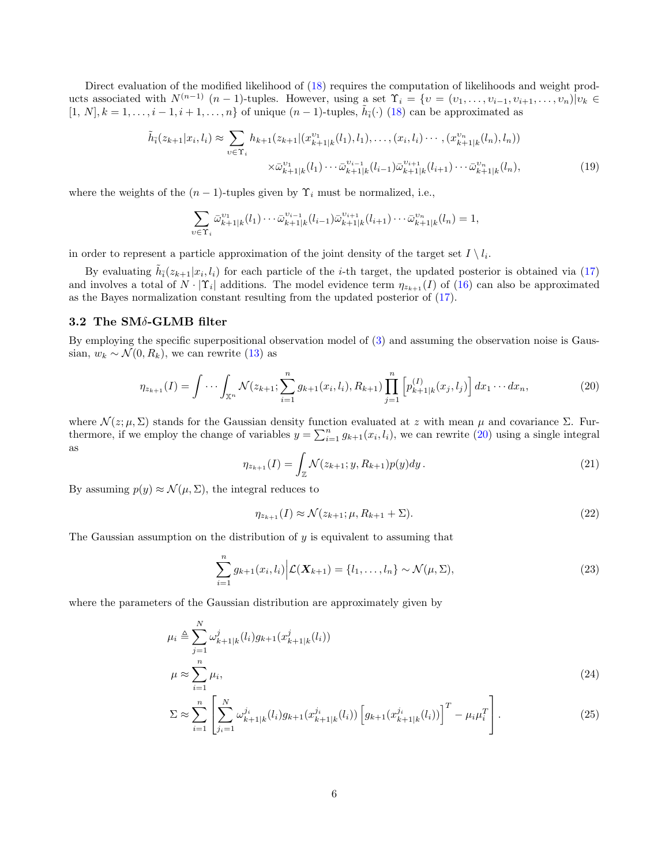Direct evaluation of the modified likelihood of [\(18\)](#page-4-2) requires the computation of likelihoods and weight products associated with  $N^{(n-1)}$   $(n-1)$ -tuples. However, using a set  $\Upsilon_i = \{v = (v_1, \ldots, v_{i-1}, v_{i+1}, \ldots, v_n) | v_k \in$  $[1, N], k = 1, \ldots, i-1, i+1, \ldots, n$  of unique  $(n-1)$ -tuples,  $\tilde{h}_i(\cdot)$  [\(18\)](#page-4-2) can be approximated as

$$
\tilde{h}_{\bar{i}}(z_{k+1}|x_i, l_i) \approx \sum_{v \in \Upsilon_i} h_{k+1}(z_{k+1}|(x_{k+1|k}^{v_1}(l_1), l_1), \dots, (x_i, l_i) \cdots, (x_{k+1|k}^{v_n}(l_n), l_n))
$$
\n
$$
\times \bar{\omega}_{k+1|k}^{v_1}(l_1) \cdots \bar{\omega}_{k+1|k}^{v_{i-1}}(l_{i-1}) \bar{\omega}_{k+1|k}^{v_{i+1}}(l_{i+1}) \cdots \bar{\omega}_{k+1|k}^{v_n}(l_n), \tag{19}
$$

where the weights of the  $(n-1)$ -tuples given by  $\Upsilon_i$  must be normalized, i.e.,

<span id="page-5-0"></span>
$$
\sum_{v \in \Upsilon_i} \bar{\omega}_{k+1|k}^{v_1} (l_1) \cdots \bar{\omega}_{k+1|k}^{v_{i-1}} (l_{i-1}) \bar{\omega}_{k+1|k}^{v_{i+1}} (l_{i+1}) \cdots \bar{\omega}_{k+1|k}^{v_n} (l_n) = 1,
$$

in order to represent a particle approximation of the joint density of the target set  $I \setminus l_i$ .

By evaluating  $\tilde{h}_i(z_{k+1}|x_i, l_i)$  for each particle of the *i*-th target, the updated posterior is obtained via [\(17\)](#page-4-3) and involves a total of  $N \cdot |\Upsilon_i|$  additions. The model evidence term  $\eta_{z_{k+1}}(I)$  of [\(16\)](#page-4-1) can also be approximated as the Bayes normalization constant resulting from the updated posterior of [\(17\)](#page-4-3).

# 3.2 The SMδ-GLMB filter

By employing the specific superpositional observation model of [\(3\)](#page-1-3) and assuming the observation noise is Gaussian,  $w_k \sim \mathcal{N}(0, R_k)$ , we can rewrite [\(13\)](#page-3-1) as

$$
\eta_{z_{k+1}}(I) = \int \cdots \int_{\mathbb{X}^n} \mathcal{N}(z_{k+1}; \sum_{i=1}^n g_{k+1}(x_i, l_i), R_{k+1}) \prod_{j=1}^n \left[ p_{k+1|k}^{(I)}(x_j, l_j) \right] dx_1 \cdots dx_n, \tag{20}
$$

where  $\mathcal{N}(z; \mu, \Sigma)$  stands for the Gaussian density function evaluated at z with mean  $\mu$  and covariance  $\Sigma$ . Furthermore, if we employ the change of variables  $y = \sum_{i=1}^{n} g_{k+1}(x_i, l_i)$ , we can rewrite [\(20\)](#page-5-0) using a single integral as

$$
\eta_{z_{k+1}}(I) = \int_{\mathbb{Z}} \mathcal{N}(z_{k+1}; y, R_{k+1}) p(y) dy.
$$
 (21)

By assuming  $p(y) \approx \mathcal{N}(\mu, \Sigma)$ , the integral reduces to

$$
\eta_{z_{k+1}}(I) \approx \mathcal{N}(z_{k+1}; \mu, R_{k+1} + \Sigma). \tag{22}
$$

The Gaussian assumption on the distribution of  $y$  is equivalent to assuming that

$$
\sum_{i=1}^{n} g_{k+1}(x_i, l_i) \bigg| \mathcal{L}(\mathbf{X}_{k+1}) = \{l_1, \dots, l_n\} \sim \mathcal{N}(\mu, \Sigma), \tag{23}
$$

where the parameters of the Gaussian distribution are approximately given by

$$
\mu_i \triangleq \sum_{j=1}^N \omega_{k+1|k}^j(l_i) g_{k+1}(x_{k+1|k}^j(l_i))
$$
\n
$$
\mu \approx \sum_{i=1}^n \mu_i,
$$
\n(24)

$$
\Sigma \approx \sum_{i=1}^{n} \left[ \sum_{j_i=1}^{N} \omega_{k+1|k}^{j_i} (l_i) g_{k+1}(x_{k+1|k}^{j_i} (l_i)) \left[ g_{k+1}(x_{k+1|k}^{j_i} (l_i)) \right]^T - \mu_i \mu_i^T \right]. \tag{25}
$$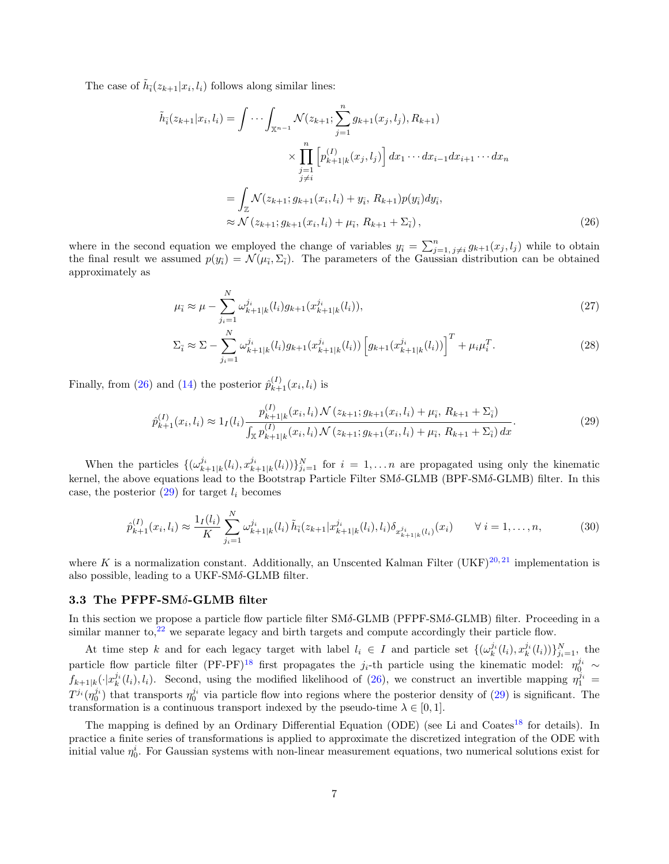The case of  $\tilde{h}_i(z_{k+1}|x_i, l_i)$  follows along similar lines:

$$
\tilde{h}_{\tilde{i}}(z_{k+1}|x_i, l_i) = \int \cdots \int_{\mathbb{X}^{n-1}} \mathcal{N}(z_{k+1}; \sum_{j=1}^n g_{k+1}(x_j, l_j), R_{k+1})
$$
\n
$$
\times \prod_{\substack{j=1 \ j \neq i}}^n \left[ p_{k+1|k}^{(I)}(x_j, l_j) \right] dx_1 \cdots dx_{i-1} dx_{i+1} \cdots dx_n
$$
\n
$$
= \int_{\mathbb{Z}} \mathcal{N}(z_{k+1}; g_{k+1}(x_i, l_i) + y_{\tilde{i}}, R_{k+1}) p(y_{\tilde{i}}) dy_{\tilde{i}},
$$
\n
$$
\approx \mathcal{N}(z_{k+1}; g_{k+1}(x_i, l_i) + \mu_{\tilde{i}}, R_{k+1} + \Sigma_{\tilde{i}}),
$$
\n(26)

where in the second equation we employed the change of variables  $y_i = \sum_{j=1, j\neq i}^{n} g_{k+1}(x_j, l_j)$  while to obtain the final result we assumed  $p(y_i) = \mathcal{N}(\mu_i, \Sigma_i)$ . The parameters of the Gaussian distribution can be obtained approximately as

<span id="page-6-0"></span>
$$
\mu_{\bar{i}} \approx \mu - \sum_{j_i=1}^{N} \omega_{k+1|k}^{j_i}(l_i) g_{k+1}(x_{k+1|k}^{j_i}(l_i)),\tag{27}
$$

$$
\Sigma_{\bar{i}} \approx \Sigma - \sum_{j_i=1}^{N} \omega_{k+1|k}^{j_i}(l_i) g_{k+1}(x_{k+1|k}^{j_i}(l_i)) \left[ g_{k+1}(x_{k+1|k}^{j_i}(l_i)) \right]^T + \mu_i \mu_i^T. \tag{28}
$$

Finally, from [\(26\)](#page-6-0) and [\(14\)](#page-3-3) the posterior  $\hat{p}_{k+1}^{(I)}(x_i, l_i)$  is

<span id="page-6-1"></span>
$$
\hat{p}_{k+1}^{(I)}(x_i, l_i) \approx 1_I(l_i) \frac{p_{k+1|k}^{(I)}(x_i, l_i) \mathcal{N}(z_{k+1}; g_{k+1}(x_i, l_i) + \mu_{\bar{i}}, R_{k+1} + \Sigma_{\bar{i}})}{\int_{\mathbb{X}} p_{k+1|k}^{(I)}(x_i, l_i) \mathcal{N}(z_{k+1}; g_{k+1}(x_i, l_i) + \mu_{\bar{i}}, R_{k+1} + \Sigma_{\bar{i}}) dx}.
$$
\n(29)

When the particles  $\{(\omega_{k+1|k}^{j_i}(l_i), x_{k+1|k}^{j_i}(l_i))\}_{j_i=1}^N$  for  $i = 1, \ldots n$  are propagated using only the kinematic kernel, the above equations lead to the Bootstrap Particle Filter SMδ-GLMB (BPF-SMδ-GLMB) filter. In this case, the posterior  $(29)$  for target  $l_i$  becomes

<span id="page-6-2"></span>
$$
\hat{p}_{k+1}^{(I)}(x_i, l_i) \approx \frac{\mathbf{1}_I(l_i)}{K} \sum_{j_i=1}^N \omega_{k+1|k}^{j_i}(l_i) \tilde{h}_i(z_{k+1}|x_{k+1|k}^{j_i}(l_i), l_i) \delta_{x_{k+1|k}^{j_i}(l_i)}(x_i) \qquad \forall \ i = 1, \dots, n,
$$
\n(30)

where K is a normalization constant. Additionally, an Unscented Kalman Filter (UKF)<sup>[20,](#page-11-13) [21](#page-11-14)</sup> implementation is also possible, leading to a UKF-SM $\delta$ -GLMB filter.

# 3.3 The PFPF-SMδ-GLMB filter

In this section we propose a particle flow particle filter SMδ-GLMB (PFPF-SMδ-GLMB) filter. Proceeding in a similar manner to, $2^2$  we separate legacy and birth targets and compute accordingly their particle flow.

At time step k and for each legacy target with label  $l_i \in I$  and particle set  $\{(\omega_k^{j_i}(l_i), x_k^{j_i}(l_i))\}_{j_i=1}^N$ , the particle flow particle filter  $(PF-PF)^{18}$  $(PF-PF)^{18}$  $(PF-PF)^{18}$  first propagates the j<sub>i</sub>-th particle using the kinematic model:  $\eta_0^{j_i} \sim$  $f_{k+1|k}(\cdot|x_k^{j_i}(l_i),l_i)$ . Second, using the modified likelihood of [\(26\)](#page-6-0), we construct an invertible mapping  $\eta_1^{j_i}$  $T^{j_i}(\eta_0^{j_i})$  that transports  $\eta_0^{j_i}$  via particle flow into regions where the posterior density of [\(29\)](#page-6-1) is significant. The transformation is a continuous transport indexed by the pseudo-time  $\lambda \in [0, 1]$ .

The mapping is defined by an Ordinary Differential Equation (ODE) (see Li and Coates<sup>[18](#page-11-11)</sup> for details). In practice a finite series of transformations is applied to approximate the discretized integration of the ODE with initial value  $\eta_0^i$ . For Gaussian systems with non-linear measurement equations, two numerical solutions exist for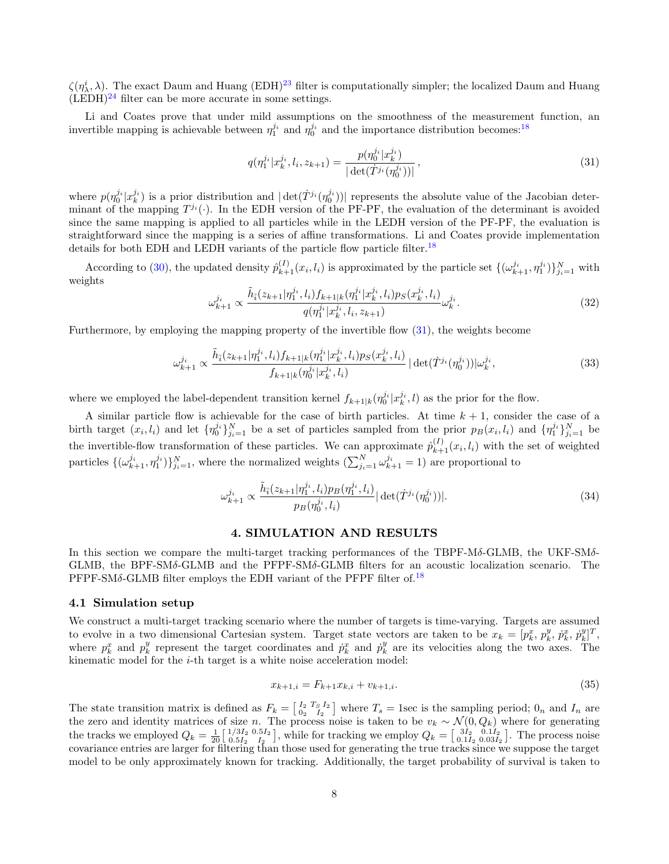$\zeta(\eta_\lambda^i, \lambda)$ . The exact Daum and Huang (EDH)<sup>[23](#page-11-16)</sup> filter is computationally simpler; the localized Daum and Huang  $(LEDH)^{24}$  $(LEDH)^{24}$  $(LEDH)^{24}$  filter can be more accurate in some settings.

Li and Coates prove that under mild assumptions on the smoothness of the measurement function, an invertible mapping is achievable between  $\eta_1^{j_i}$  and  $\eta_0^{j_i}$  and the importance distribution becomes:<sup>[18](#page-11-11)</sup>

<span id="page-7-1"></span>
$$
q(\eta_1^{j_i}|x_k^{j_i}, l_i, z_{k+1}) = \frac{p(\eta_0^{j_i}|x_k^{j_i})}{|\det(\dot{T}^{j_i}(\eta_0^{j_i}))|},
$$
\n(31)

where  $p(\eta_0^{j_i}|x_k^{j_i})$  is a prior distribution and  $|\det(\dot{T}^{j_i}(\eta_0^{j_i}))|$  represents the absolute value of the Jacobian determinant of the mapping  $T^{j_i}(\cdot)$ . In the EDH version of the PF-PF, the evaluation of the determinant is avoided since the same mapping is applied to all particles while in the LEDH version of the PF-PF, the evaluation is straightforward since the mapping is a series of affine transformations. Li and Coates provide implementation details for both EDH and LEDH variants of the particle flow particle filter.<sup>[18](#page-11-11)</sup>

According to [\(30\)](#page-6-2), the updated density  $\hat{p}_{k+1}^{(I)}(x_i, l_i)$  is approximated by the particle set  $\{(\omega_{k+1}^{j_i}, \eta_1^{j_i})\}_{j_i=1}^N$  with weights

$$
\omega_{k+1}^{j_i} \propto \frac{\tilde{h}_{\bar{i}}(z_{k+1}|\eta_1^{j_i}, l_i) f_{k+1|k}(\eta_1^{j_i} | x_k^{j_i}, l_i) p_S(x_k^{j_i}, l_i)}{q(\eta_1^{j_i} | x_k^{j_i}, l_i, z_{k+1})} \omega_k^{j_i}.
$$
\n(32)

Furthermore, by employing the mapping property of the invertible flow [\(31\)](#page-7-1), the weights become

$$
\omega_{k+1}^{j_i} \propto \frac{\tilde{h}_{\bar{i}}(z_{k+1}|\eta_1^{j_i}, l_i) f_{k+1|k}(\eta_1^{j_i} | x_k^{j_i}, l_i) p_S(x_k^{j_i}, l_i)}{f_{k+1|k}(\eta_0^{j_i} | x_k^{j_i}, l_i)} |\det(\dot{T}^{j_i}(\eta_0^{j_i}))|\omega_k^{j_i},\tag{33}
$$

where we employed the label-dependent transition kernel  $f_{k+1|k}(\eta_0^{j_i}|x_k^{j_i},l)$  as the prior for the flow.

A similar particle flow is achievable for the case of birth particles. At time  $k + 1$ , consider the case of a birth target  $(x_i, l_i)$  and let  $\{\eta_0^{j_i}\}_{i=1}^N$  be a set of particles sampled from the prior  $p_B(x_i, l_i)$  and  $\{\eta_1^{j_i}\}_{i=1}^N$  be the invertible-flow transformation of these particles. We can approximate  $\hat{p}_{k+1}^{(I)}(x_i, l_i)$  with the set of weighted particles  $\{(\omega_{k+1}^{j_i}, \eta_1^{j_i})\}_{j_i=1}^N$ , where the normalized weights  $(\sum_{j_i=1}^N \omega_{k+1}^{j_i} = 1)$  are proportional to

$$
\omega_{k+1}^{j_i} \propto \frac{\tilde{h}_{\bar{i}}(z_{k+1}|\eta_1^{j_i}, l_i)p_B(\eta_1^{j_i}, l_i)}{p_B(\eta_0^{j_i}, l_i)} |\det(\dot{T}^{j_i}(\eta_0^{j_i}))|.
$$
\n(34)

# 4. SIMULATION AND RESULTS

<span id="page-7-0"></span>In this section we compare the multi-target tracking performances of the TBPF-Mδ-GLMB, the UKF-SMδ-GLMB, the BPF-SMδ-GLMB and the PFPF-SMδ-GLMB filters for an acoustic localization scenario. The  $PFPF-SM\delta$ -GLMB filter employs the EDH variant of the PFPF filter of.<sup>[18](#page-11-11)</sup>

### 4.1 Simulation setup

We construct a multi-target tracking scenario where the number of targets is time-varying. Targets are assumed to evolve in a two dimensional Cartesian system. Target state vectors are taken to be  $x_k = [\mathbf{p}_k^x, \mathbf{p}_k^y, \mathbf{p}_k^x, \mathbf{p}_k^y]^T$ , where  $p_k^x$  and  $p_k^y$  represent the target coordinates and  $\dot{p}_k^x$  and  $\dot{p}_k^y$  are its velocities along the two axes. The kinematic model for the  $i$ -th target is a white noise acceleration model:

$$
x_{k+1,i} = F_{k+1}x_{k,i} + v_{k+1,i}.\tag{35}
$$

The state transition matrix is defined as  $F_k = \begin{bmatrix} I_2 & T_S & I_2 \\ 0_2 & I_2 \end{bmatrix}$  where  $T_s = 1$  sec is the sampling period;  $0_n$  and  $I_n$  are the zero and identity matrices of size n. The process noise is taken to be  $v_k \sim \mathcal{N}(0, Q_k)$  where for generating the tracks we employed  $Q_k = \frac{1}{20} \begin{bmatrix} 1/3I_2 & 0.5I_2 \\ 0.5I_2 & I_2 \end{bmatrix}$  $\binom{1/3I_2}{0.5I_2}$ , while for tracking we employ  $Q_k = \begin{bmatrix} 3I_2 & 0.1I_2 \\ 0.1I_2 & 0.03I_2 \end{bmatrix}$ . The process noise covariance entries are larger for filtering than those used for generating the true tracks since we suppose the target model to be only approximately known for tracking. Additionally, the target probability of survival is taken to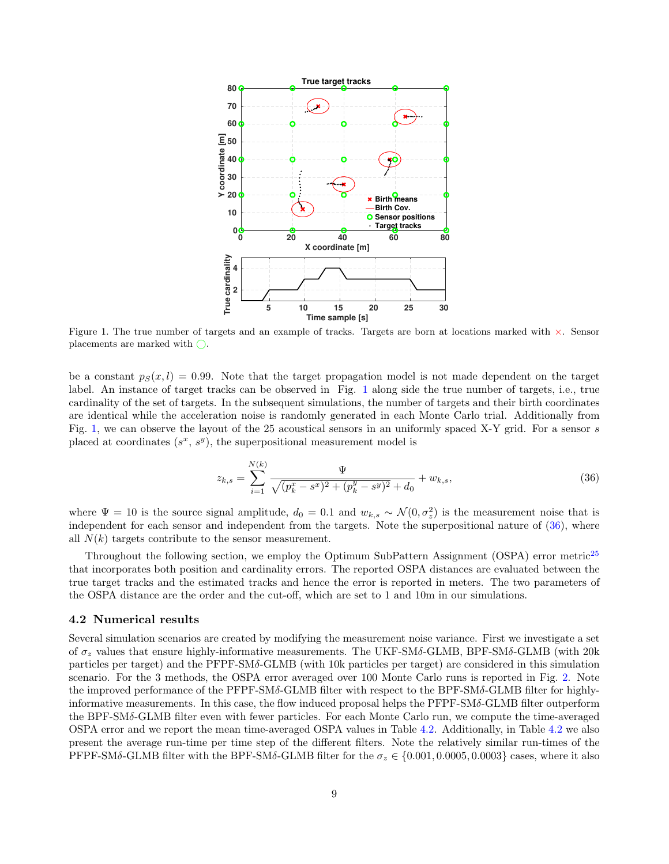

<span id="page-8-0"></span>Figure 1. The true number of targets and an example of tracks. Targets are born at locations marked with ×. Sensor placements are marked with  $\bigcirc$ .

be a constant  $p_S(x, l) = 0.99$ . Note that the target propagation model is not made dependent on the target label. An instance of target tracks can be observed in Fig. [1](#page-8-0) along side the true number of targets, i.e., true cardinality of the set of targets. In the subsequent simulations, the number of targets and their birth coordinates are identical while the acceleration noise is randomly generated in each Monte Carlo trial. Additionally from Fig. [1,](#page-8-0) we can observe the layout of the 25 acoustical sensors in an uniformly spaced X-Y grid. For a sensor s placed at coordinates  $(s^x, s^y)$ , the superpositional measurement model is

<span id="page-8-1"></span>
$$
z_{k,s} = \sum_{i=1}^{N(k)} \frac{\Psi}{\sqrt{(p_k^x - s^x)^2 + (p_k^y - s^y)^2 + d_0}} + w_{k,s},\tag{36}
$$

where  $\Psi = 10$  is the source signal amplitude,  $d_0 = 0.1$  and  $w_{k,s} \sim \mathcal{N}(0, \sigma_z^2)$  is the measurement noise that is independent for each sensor and independent from the targets. Note the superpositional nature of [\(36\)](#page-8-1), where all  $N(k)$  targets contribute to the sensor measurement.

Throughout the following section, we employ the Optimum SubPattern Assignment (OSPA) error metric<sup>[25](#page-11-18)</sup> that incorporates both position and cardinality errors. The reported OSPA distances are evaluated between the true target tracks and the estimated tracks and hence the error is reported in meters. The two parameters of the OSPA distance are the order and the cut-off, which are set to 1 and 10m in our simulations.

#### 4.2 Numerical results

Several simulation scenarios are created by modifying the measurement noise variance. First we investigate a set of  $\sigma_z$  values that ensure highly-informative measurements. The UKF-SM $\delta$ -GLMB, BPF-SM $\delta$ -GLMB (with 20k particles per target) and the PFPF-SMδ-GLMB (with 10k particles per target) are considered in this simulation scenario. For the 3 methods, the OSPA error averaged over 100 Monte Carlo runs is reported in Fig. [2.](#page-9-0) Note the improved performance of the PFPF-SMδ-GLMB filter with respect to the BPF-SMδ-GLMB filter for highlyinformative measurements. In this case, the flow induced proposal helps the  $\text{PFPF-SM} \delta$ -GLMB filter outperform the BPF-SMδ-GLMB filter even with fewer particles. For each Monte Carlo run, we compute the time-averaged OSPA error and we report the mean time-averaged OSPA values in Table [4.2.](#page-9-0) Additionally, in Table [4.2](#page-9-0) we also present the average run-time per time step of the different filters. Note the relatively similar run-times of the PFPF-SMδ-GLMB filter with the BPF-SMδ-GLMB filter for the  $\sigma_z \in \{0.001, 0.0005, 0.0003\}$  cases, where it also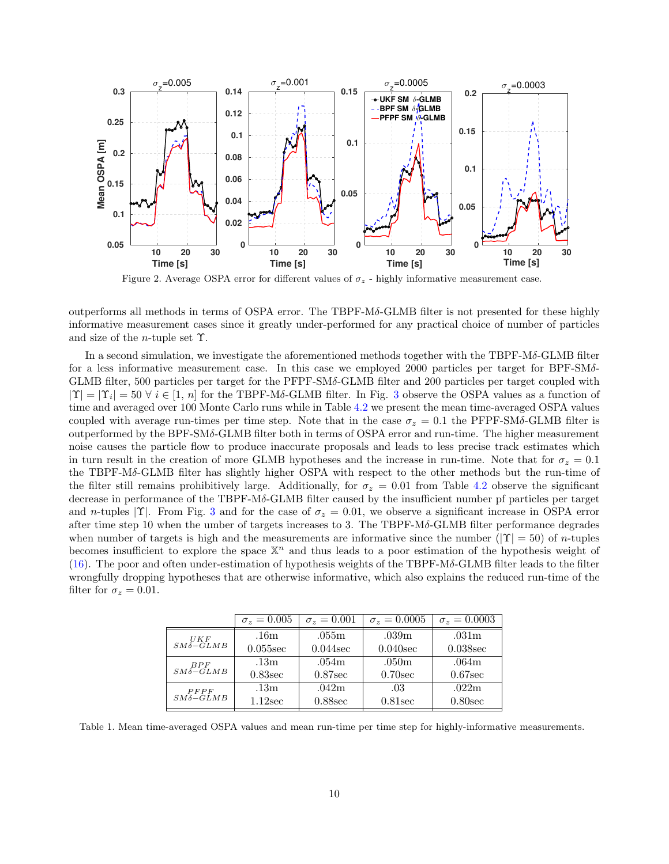

<span id="page-9-0"></span>Figure 2. Average OSPA error for different values of  $\sigma_z$  - highly informative measurement case.

outperforms all methods in terms of OSPA error. The TBPF-Mδ-GLMB filter is not presented for these highly informative measurement cases since it greatly under-performed for any practical choice of number of particles and size of the *n*-tuple set  $\Upsilon$ .

In a second simulation, we investigate the aforementioned methods together with the TBPF-Mδ-GLMB filter for a less informative measurement case. In this case we employed 2000 particles per target for BPF-SM $\delta$ -GLMB filter, 500 particles per target for the PFPF-SMδ-GLMB filter and 200 particles per target coupled with  $|\Upsilon| = |\Upsilon_i| = 50 \ \forall i \in [1, n]$  for the TBPF-Mδ-GLMB filter. In Fig. [3](#page-10-4) observe the OSPA values as a function of time and averaged over 100 Monte Carlo runs while in Table [4.2](#page-10-4) we present the mean time-averaged OSPA values coupled with average run-times per time step. Note that in the case  $\sigma_z = 0.1$  the PFPF-SMδ-GLMB filter is outperformed by the BPF-SMδ-GLMB filter both in terms of OSPA error and run-time. The higher measurement noise causes the particle flow to produce inaccurate proposals and leads to less precise track estimates which in turn result in the creation of more GLMB hypotheses and the increase in run-time. Note that for  $\sigma_z = 0.1$ the TBPF-Mδ-GLMB filter has slightly higher OSPA with respect to the other methods but the run-time of the filter still remains prohibitively large. Additionally, for  $\sigma_z = 0.01$  from Table [4.2](#page-10-4) observe the significant decrease in performance of the TBPF-Mδ-GLMB filter caused by the insufficient number pf particles per target and n-tuples |Υ|. From Fig. [3](#page-10-4) and for the case of  $\sigma_z = 0.01$ , we observe a significant increase in OSPA error after time step 10 when the umber of targets increases to 3. The TBPF- $M\delta$ -GLMB filter performance degrades when number of targets is high and the measurements are informative since the number  $(|\Upsilon| = 50)$  of *n*-tuples becomes insufficient to explore the space  $\mathbb{X}^n$  and thus leads to a poor estimation of the hypothesis weight of [\(16\)](#page-4-1). The poor and often under-estimation of hypothesis weights of the TBPF-Mδ-GLMB filter leads to the filter wrongfully dropping hypotheses that are otherwise informative, which also explains the reduced run-time of the filter for  $\sigma_z = 0.01$ .

|                                                | $\sigma_z = 0.005$ | $\sigma_z = 0.001$ | $\sigma_z = 0.0005$ | $\sigma_z = 0.0003$ |
|------------------------------------------------|--------------------|--------------------|---------------------|---------------------|
| $\mathit{UKF}\xspace_{\mathit{SM\delta-GLMB}}$ | .16m               | .055m              | .039m               | .031 <sub>m</sub>   |
|                                                | $0.055$ sec        | $0.044$ sec        | $0.040$ sec         | $0.038$ sec         |
| $BPF$<br>$SM\delta-GLMB$                       | .13m               | .054m              | .050m               | .064m               |
|                                                | $0.83$ sec         | $0.87$ sec         | $0.70$ sec          | $0.67$ sec          |
| P F P F<br>$SM\delta - \tilde{GL}MB$           | .13m               | .042m              | .03                 | .022m               |
|                                                | $1.12$ sec         | $0.88$ sec         | $0.81$ sec          | $0.80$ sec          |

Table 1. Mean time-averaged OSPA values and mean run-time per time step for highly-informative measurements.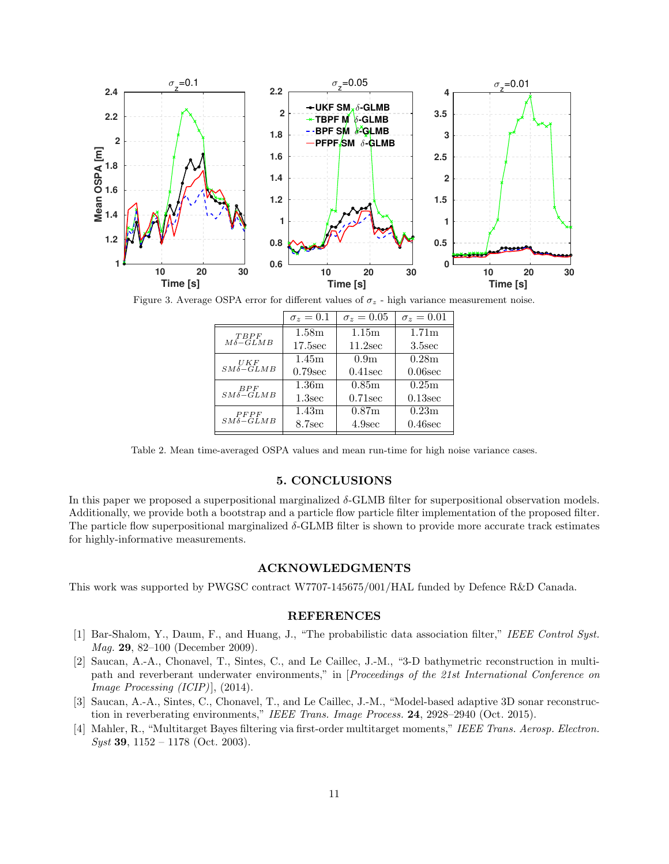

Figure 3. Average OSPA error for different values of  $\sigma_z$  - high variance measurement noise.

<span id="page-10-4"></span>

|                                                    | $\sigma_z=0.1$    | $\sigma_z = 0.05$ | $\sigma_z=0.01$     |
|----------------------------------------------------|-------------------|-------------------|---------------------|
| $T$ $B$ $P$ $F$                                    | 1.58 <sub>m</sub> | 1.15m             | 1.71 <sub>m</sub>   |
| $M\delta - GLMB$                                   | $17.5$ sec        | $11.2$ sec        | 3.5 <sub>sec</sub>  |
|                                                    | 1.45m             | 0.9 <sub>m</sub>  | 0.28m               |
| $\begin{array}{c} UKF\\ SM\delta-GLMB \end{array}$ | $0.79$ sec        | $0.41$ sec        | $0.06$ sec          |
| BPF                                                | 1.36 <sub>m</sub> | 0.85 <sub>m</sub> | $\overline{0.25}$ m |
| $SM\delta-GLMB$                                    | 1.3sec            | $0.71$ sec        | $0.13$ sec          |
| P F P F                                            | 1.43 <sub>m</sub> | 0.87 <sub>m</sub> | 0.23m               |
| $SM\delta - GLMB$                                  | 8.7sec            | 4.9sec            | $0.46$ sec          |

Table 2. Mean time-averaged OSPA values and mean run-time for high noise variance cases.

# 5. CONCLUSIONS

<span id="page-10-3"></span>In this paper we proposed a superpositional marginalized  $\delta$ -GLMB filter for superpositional observation models. Additionally, we provide both a bootstrap and a particle flow particle filter implementation of the proposed filter. The particle flow superpositional marginalized  $\delta$ -GLMB filter is shown to provide more accurate track estimates for highly-informative measurements.

#### ACKNOWLEDGMENTS

This work was supported by PWGSC contract W7707-145675/001/HAL funded by Defence R&D Canada.

### REFERENCES

- <span id="page-10-0"></span>[1] Bar-Shalom, Y., Daum, F., and Huang, J., "The probabilistic data association filter," IEEE Control Syst. Mag. 29, 82–100 (December 2009).
- [2] Saucan, A.-A., Chonavel, T., Sintes, C., and Le Caillec, J.-M., "3-D bathymetric reconstruction in multipath and reverberant underwater environments," in [Proceedings of the 21st International Conference on *Image Processing (ICIP)* $\vert$ , (2014).
- <span id="page-10-1"></span>[3] Saucan, A.-A., Sintes, C., Chonavel, T., and Le Caillec, J.-M., "Model-based adaptive 3D sonar reconstruction in reverberating environments," IEEE Trans. Image Process. 24, 2928–2940 (Oct. 2015).
- <span id="page-10-2"></span>[4] Mahler, R., "Multitarget Bayes filtering via first-order multitarget moments," IEEE Trans. Aerosp. Electron.  $Syst$  39, 1152 – 1178 (Oct. 2003).